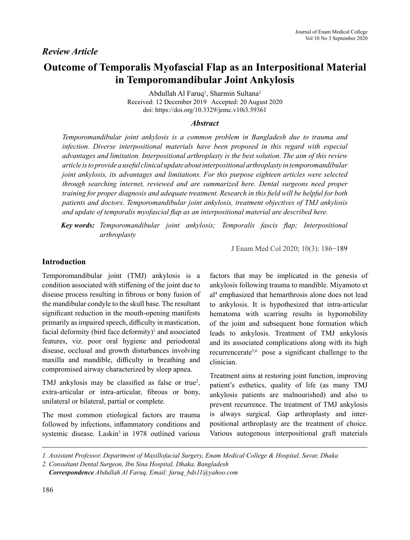# **Outcome of Temporalis Myofascial Flap as an Interpositional Material in Temporomandibular Joint Ankylosis**

Abdullah Al Faruq<sup>1</sup>, Sharmin Sultana<sup>2</sup> Received: 12 December 2019 Accepted: 20 August 2020 doi: https://doi.org/10.3329/jemc.v10i3.59361

#### *Abstract*

*Temporomandibular joint ankylosis is a common problem in Bangladesh due to trauma and infection. Diverse interpositional materials have been proposed in this regard with especial advantages and limitation. Interpositional arthroplasty is the best solution. The aim of this review article is to provide a useful clinical update about interpositional arthroplasty in temporomandibular joint ankylosis, its advantages and limitations. For this purpose eighteen articles were selected through searching internet, reviewed and are summarized here. Dental surgeons need proper training for proper diagnosis and adequate treatment. Research in this field will be helpful for both patients and doctors. Temporomandibular joint ankylosis, treatment objectives of TMJ ankylosis and update of temporalis myofascial flap as an interpositional material are described here.*

*Key words: Temporomandibular joint ankylosis; Temporalis fascis flap; Interpositional arthroplasty*

J Enam Med Col 2020; 10(3): 186−189

#### **Introduction**

Temporomandibular joint (TMJ) ankylosis is a condition associated with stiffening of the joint due to disease process resulting in fibrous or bony fusion of the mandibular condyle to the skull base. The resultant significant reduction in the mouth-opening manifests primarily as impaired speech, difficulty in mastication, facial deformity (bird face deformity) $\mathbf{I}$  and associated features, viz. poor oral hygiene and periodontal disease, occlusal and growth disturbances involving maxilla and mandible, difficulty in breathing and compromised airway characterized by sleep apnea.

TMJ ankylosis may be classified as false or true<sup>2</sup>, extra-articular or intra-articular, fibrous or bony, unilateral or bilateral, partial or complete.

The most common etiological factors are trauma followed by infections, inflammatory conditions and systemic disease. Laskin<sup>3</sup> in 1978 outlined various factors that may be implicated in the genesis of ankylosis following trauma to mandible. Miyamoto et al4 emphasized that hemarthrosis alone does not lead to ankylosis. It is hypothesized that intra-articular hematoma with scarring results in hypomobility of the joint and subsequent bone formation which leads to ankylosis. Treatment of TMJ ankylosis and its associated complications along with its high recurrencerate5,6 pose a significant challenge to the clinician.

Treatment aims at restoring joint function, improving patient's esthetics, quality of life (as many TMJ ankylosis patients are malnourished) and also to prevent recurrence. The treatment of TMJ ankylosis is always surgical. Gap arthroplasty and interpositional arthroplasty are the treatment of choice. Various autogenous interpositional graft materials

*<sup>1.</sup> Assistant Professor, Department of Maxillofacial Surgery, Enam Medical College & Hospital, Savar, Dhaka*

*<sup>2.</sup> Consultant Dental Surgeon, Ibn Sina Hospital, Dhaka, Bangladesh*

*Correspondence Abdullah Al Faruq, Email: faruq\_bds11@yahoo.com*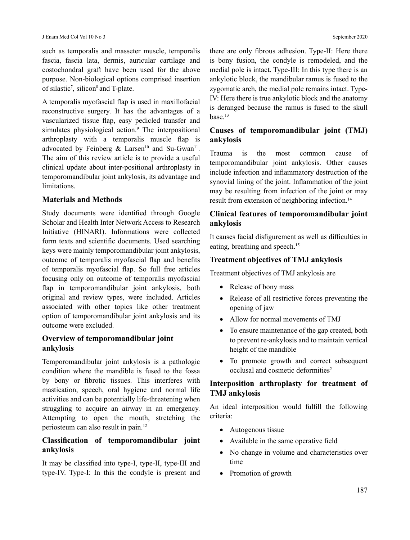such as temporalis and masseter muscle, temporalis fascia, fascia lata, dermis, auricular cartilage and costochondral graft have been used for the above purpose. Non-biological options comprised insertion of silastic<sup>7</sup>, silicon<sup>8</sup> and T-plate.

A temporalis myofascial flap is used in maxillofacial reconstructive surgery. It has the advantages of a vascularized tissue flap, easy pedicled transfer and simulates physiological action.<sup>9</sup> The interpositional arthroplasty with a temporalis muscle flap is advocated by Feinberg & Larsen<sup>10</sup> and Su-Gwan<sup>11</sup>. The aim of this review article is to provide a useful clinical update about inter-positional arthroplasty in temporomandibular joint ankylosis, its advantage and limitations.

#### **Materials and Methods**

Study documents were identified through Google Scholar and Health Inter Network Access to Research Initiative (HINARI). Informations were collected form texts and scientific documents. Used searching keys were mainly temporomandibular joint ankylosis, outcome of temporalis myofascial flap and benefits of temporalis myofascial flap. So full free articles focusing only on outcome of temporalis myofascial flap in temporomandibular joint ankylosis, both original and review types, were included. Articles associated with other topics like other treatment option of temporomandibular joint ankylosis and its outcome were excluded.

## **Overview of temporomandibular joint ankylosis**

Temporomandibular joint ankylosis is a pathologic condition where the mandible is fused to the fossa by bony or fibrotic tissues. This interferes with mastication, speech, oral hygiene and normal life activities and can be potentially life-threatening when struggling to acquire an airway in an emergency. Attempting to open the mouth, stretching the periosteum can also result in pain.12

## **Classification of temporomandibular joint ankylosis**

It may be classified into type-I, type-II, type-III and type-IV. Type-I: In this the condyle is present and there are only fibrous adhesion. Type-II: Here there is bony fusion, the condyle is remodeled, and the medial pole is intact. Type-III: In this type there is an ankylotic block, the mandibular ramus is fused to the zygomatic arch, the medial pole remains intact. Type-IV: Here there is true ankylotic block and the anatomy is deranged because the ramus is fused to the skull base.13

## **Causes of temporomandibular joint (TMJ) ankylosis**

Trauma is the most common cause of temporomandibular joint ankylosis. Other causes include infection and inflammatory destruction of the synovial lining of the joint. Inflammation of the joint may be resulting from infection of the joint or may result from extension of neighboring infection.<sup>14</sup>

## **Clinical features of temporomandibular joint ankylosis**

It causes facial disfigurement as well as difficulties in eating, breathing and speech.<sup>15</sup>

#### **Treatment objectives of TMJ ankylosis**

Treatment objectives of TMJ ankylosis are

- Release of bony mass
- Release of all restrictive forces preventing the opening of jaw
- Allow for normal movements of TMJ
- To ensure maintenance of the gap created, both to prevent re-ankylosis and to maintain vertical height of the mandible
- • To promote growth and correct subsequent occlusal and cosmetic deformities<sup>2</sup>

## **Interposition arthroplasty for treatment of TMJ ankylosis**

An ideal interposition would fulfill the following criteria:

- Autogenous tissue
- Available in the same operative field
- No change in volume and characteristics over time
- Promotion of growth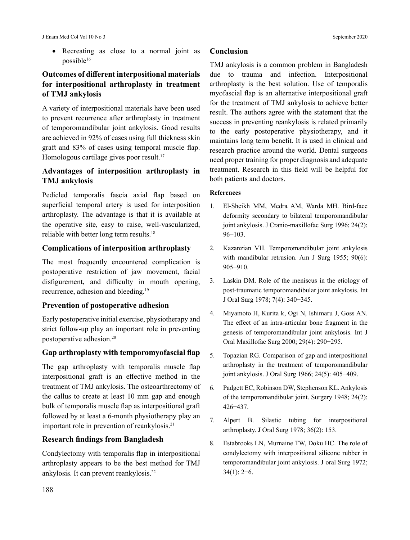J Enam Med Col Vol 10 No 3 September 2020

• Recreating as close to a normal joint as possible16

# **Outcomes of different interpositional materials for interpositional arthroplasty in treatment of TMJ ankylosis**

A variety of interpositional materials have been used to prevent recurrence after arthroplasty in treatment of temporomandibular joint ankylosis. Good results are achieved in 92% of cases using full thickness skin graft and 83% of cases using temporal muscle flap. Homologous cartilage gives poor result.<sup>17</sup>

# **Advantages of interposition arthroplasty in TMJ ankylosis**

Pedicled temporalis fascia axial flap based on superficial temporal artery is used for interposition arthroplasty. The advantage is that it is available at the operative site, easy to raise, well-vascularized, reliable with better long term results.18

#### **Complications of interposition arthroplasty**

The most frequently encountered complication is postoperative restriction of jaw movement, facial disfigurement, and difficulty in mouth opening, recurrence, adhesion and bleeding.19

## **Prevention of postoperative adhesion**

Early postoperative initial exercise, physiotherapy and strict follow-up play an important role in preventing postoperative adhesion.20

## **Gap arthroplasty with temporomyofascial flap**

The gap arthroplasty with temporalis muscle flap interpositional graft is an effective method in the treatment of TMJ ankylosis. The osteoarthrectomy of the callus to create at least 10 mm gap and enough bulk of temporalis muscle flap as interpositional graft followed by at least a 6-month physiotherapy play an important role in prevention of reankylosis.<sup>21</sup>

## **Research findings from Bangladesh**

Condylectomy with temporalis flap in interpositional arthroplasty appears to be the best method for TMJ ankylosis. It can prevent reankylosis.22

#### **Conclusion**

TMJ ankylosis is a common problem in Bangladesh due to trauma and infection. Interpositional arthroplasty is the best solution. Use of temporalis myofascial flap is an alternative interpositional graft for the treatment of TMJ ankylosis to achieve better result. The authors agree with the statement that the success in preventing reankylosis is related primarily to the early postoperative physiotherapy, and it maintains long term benefit. It is used in clinical and research practice around the world. Dental surgeons need proper training for proper diagnosis and adequate treatment. Research in this field will be helpful for both patients and doctors.

#### **References**

- 1. El-Sheikh MM, Medra AM, Warda MH. Bird-face deformity secondary to bilateral temporomandibular joint ankylosis. J Cranio-maxillofac Surg 1996; 24(2): 96−103.
- 2. Kazanzian VH. Temporomandibular joint ankylosis with mandibular retrusion. Am J Surg 1955; 90(6): 905−910.
- 3. Laskin DM. Role of the meniscus in the etiology of post-traumatic temporomandibular joint ankylosis. Int J Oral Surg 1978; 7(4): 340−345.
- 4. Miyamoto H, Kurita k, Ogi N, Ishimaru J, Goss AN. The effect of an intra-articular bone fragment in the genesis of temporomandibular joint ankylosis. Int J Oral Maxillofac Surg 2000; 29(4): 290−295.
- 5. Topazian RG. Comparison of gap and interpositional arthroplasty in the treatment of temporomandibular joint ankylosis. J Oral Surg 1966; 24(5): 405−409.
- 6. Padgett EC, Robinson DW, Stephenson KL. Ankylosis of the temporomandibular joint. Surgery 1948; 24(2): 426−437.
- 7. Alpert B. Silastic tubing for interpositional arthroplasty. J Oral Surg 1978; 36(2): 153.
- 8. Estabrooks LN, Murnaine TW, Doku HC. The role of condylectomy with interpositional silicone rubber in temporomandibular joint ankylosis. J oral Surg 1972; 34(1): 2−6.